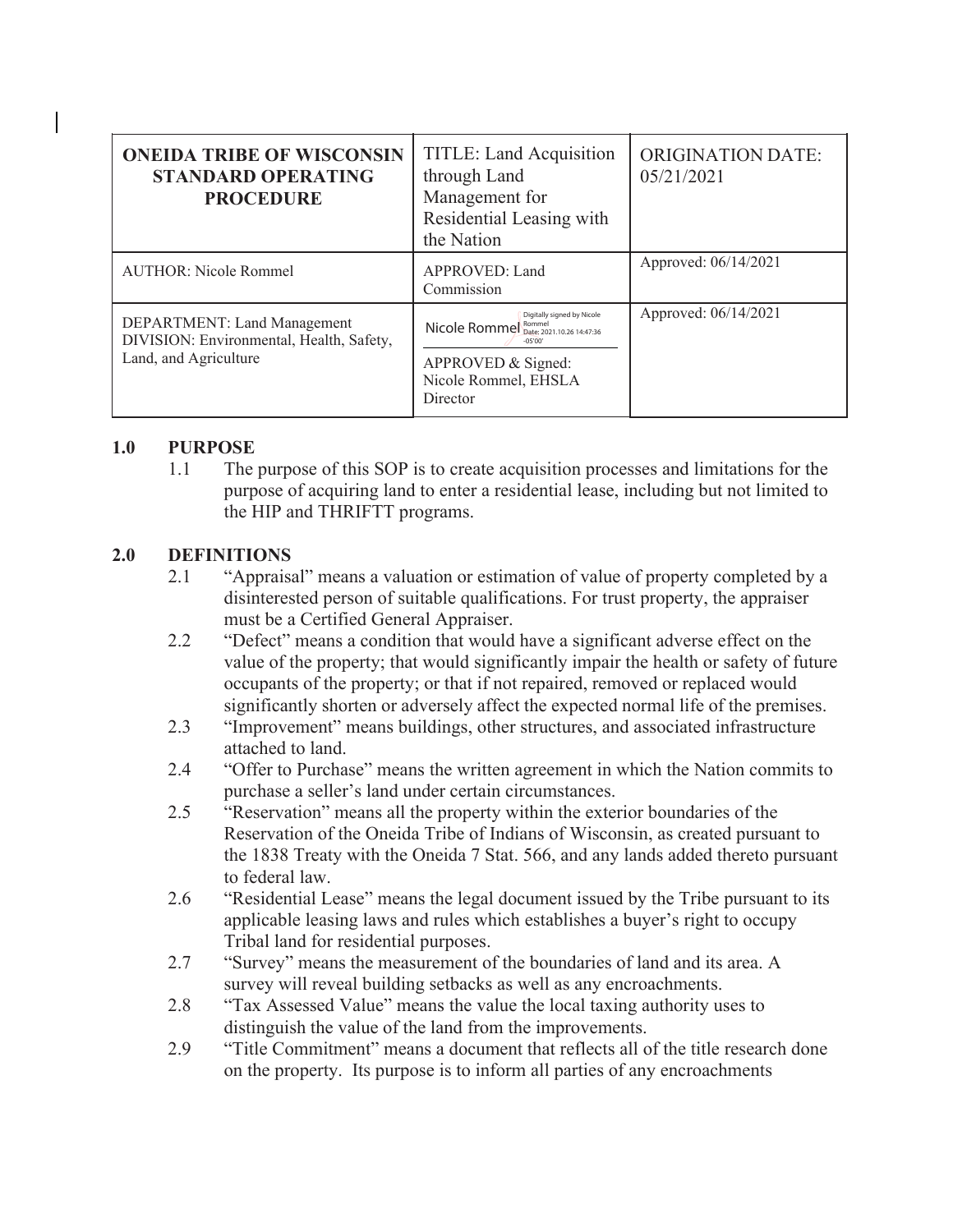| <b>ONEIDA TRIBE OF WISCONSIN</b><br><b>STANDARD OPERATING</b><br><b>PROCEDURE</b>                | TITLE: Land Acquisition<br>through Land<br>Management for<br>Residential Leasing with<br>the Nation                                                 | <b>ORIGINATION DATE:</b><br>05/21/2021 |
|--------------------------------------------------------------------------------------------------|-----------------------------------------------------------------------------------------------------------------------------------------------------|----------------------------------------|
| <b>AUTHOR: Nicole Rommel</b>                                                                     | APPROVED: Land<br>Commission                                                                                                                        | Approved: 06/14/2021                   |
| DEPARTMENT: Land Management<br>DIVISION: Environmental, Health, Safety,<br>Land, and Agriculture | Digitally signed by Nicole<br>Nicole Rommel Bonnel Date: 2021.10.26 14:47:36<br>$-05'00'$<br>APPROVED & Signed:<br>Nicole Rommel, EHSLA<br>Director | Approved: 06/14/2021                   |

## **1.0 PURPOSE**

1.1 The purpose of this SOP is to create acquisition processes and limitations for the purpose of acquiring land to enter a residential lease, including but not limited to the HIP and THRIFTT programs.

## **2.0 DEFINITIONS**

- 2.1 "Appraisal" means a valuation or estimation of value of property completed by a disinterested person of suitable qualifications. For trust property, the appraiser must be a Certified General Appraiser.
- 2.2 "Defect" means a condition that would have a significant adverse effect on the value of the property; that would significantly impair the health or safety of future occupants of the property; or that if not repaired, removed or replaced would significantly shorten or adversely affect the expected normal life of the premises.
- 2.3 "Improvement" means buildings, other structures, and associated infrastructure attached to land.
- 2.4 "Offer to Purchase" means the written agreement in which the Nation commits to purchase a seller's land under certain circumstances.
- 2.5 "Reservation" means all the property within the exterior boundaries of the Reservation of the Oneida Tribe of Indians of Wisconsin, as created pursuant to the 1838 Treaty with the Oneida 7 Stat. 566, and any lands added thereto pursuant to federal law.
- 2.6 "Residential Lease" means the legal document issued by the Tribe pursuant to its applicable leasing laws and rules which establishes a buyer's right to occupy Tribal land for residential purposes.
- 2.7 "Survey" means the measurement of the boundaries of land and its area. A survey will reveal building setbacks as well as any encroachments.
- 2.8 "Tax Assessed Value" means the value the local taxing authority uses to distinguish the value of the land from the improvements.
- 2.9 "Title Commitment" means a document that reflects all of the title research done on the property. Its purpose is to inform all parties of any encroachments